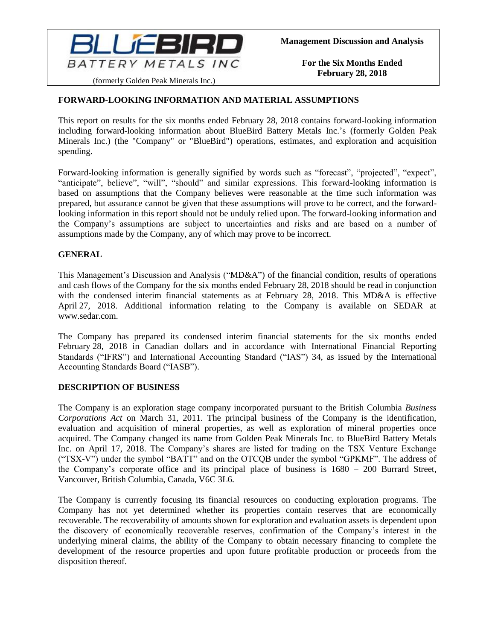

# **FORWARD-LOOKING INFORMATION AND MATERIAL ASSUMPTIONS**

This report on results for the six months ended February 28, 2018 contains forward-looking information including forward-looking information about BlueBird Battery Metals Inc.'s (formerly Golden Peak Minerals Inc.) (the "Company" or "BlueBird") operations, estimates, and exploration and acquisition spending.

Forward-looking information is generally signified by words such as "forecast", "projected", "expect", "anticipate", believe", "will", "should" and similar expressions. This forward-looking information is based on assumptions that the Company believes were reasonable at the time such information was prepared, but assurance cannot be given that these assumptions will prove to be correct, and the forwardlooking information in this report should not be unduly relied upon. The forward-looking information and the Company's assumptions are subject to uncertainties and risks and are based on a number of assumptions made by the Company, any of which may prove to be incorrect.

### **GENERAL**

This Management's Discussion and Analysis ("MD&A") of the financial condition, results of operations and cash flows of the Company for the six months ended February 28, 2018 should be read in conjunction with the condensed interim financial statements as at February 28, 2018. This MD&A is effective April 27, 2018. Additional information relating to the Company is available on SEDAR at www.sedar.com.

The Company has prepared its condensed interim financial statements for the six months ended February 28, 2018 in Canadian dollars and in accordance with International Financial Reporting Standards ("IFRS") and International Accounting Standard ("IAS") 34, as issued by the International Accounting Standards Board ("IASB").

### **DESCRIPTION OF BUSINESS**

The Company is an exploration stage company incorporated pursuant to the British Columbia *Business Corporations Act* on March 31, 2011. The principal business of the Company is the identification, evaluation and acquisition of mineral properties, as well as exploration of mineral properties once acquired. The Company changed its name from Golden Peak Minerals Inc. to BlueBird Battery Metals Inc. on April 17, 2018. The Company's shares are listed for trading on the TSX Venture Exchange ("TSX-V") under the symbol "BATT" and on the OTCQB under the symbol "GPKMF". The address of the Company's corporate office and its principal place of business is 1680 – 200 Burrard Street, Vancouver, British Columbia, Canada, V6C 3L6.

The Company is currently focusing its financial resources on conducting exploration programs. The Company has not yet determined whether its properties contain reserves that are economically recoverable. The recoverability of amounts shown for exploration and evaluation assets is dependent upon the discovery of economically recoverable reserves, confirmation of the Company's interest in the underlying mineral claims, the ability of the Company to obtain necessary financing to complete the development of the resource properties and upon future profitable production or proceeds from the disposition thereof.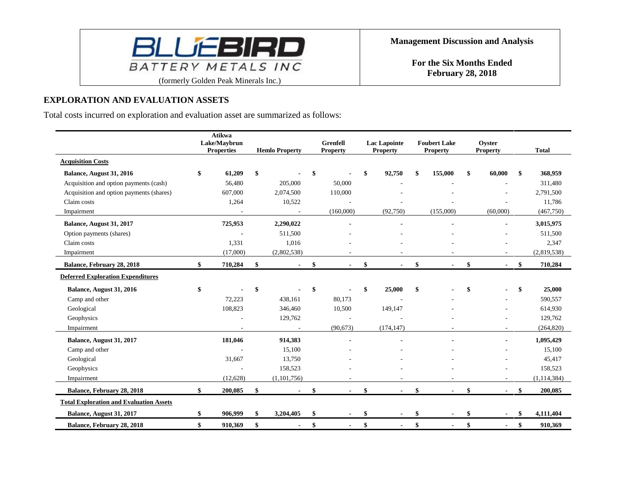

### **EXPLORATION AND EVALUATION ASSETS**

Total costs incurred on exploration and evaluation asset are summarized as follows:

|                                                | <b>Atikwa</b><br>Lake/Maybrun<br><b>Properties</b> | <b>Hemlo Property</b> | <b>Grenfell</b><br><b>Property</b> | <b>Lac Lapointe</b><br><b>Property</b> | <b>Foubert Lake</b><br><b>Property</b> | Oyster<br><b>Property</b> | <b>Total</b>    |
|------------------------------------------------|----------------------------------------------------|-----------------------|------------------------------------|----------------------------------------|----------------------------------------|---------------------------|-----------------|
| <b>Acquisition Costs</b>                       |                                                    |                       |                                    |                                        |                                        |                           |                 |
| Balance, August 31, 2016                       | \$<br>61,209                                       | \$                    | \$                                 | \$<br>92,750                           | \$<br>155,000                          | \$<br>60,000              | \$<br>368,959   |
| Acquisition and option payments (cash)         | 56,480                                             | 205,000               | 50,000                             |                                        |                                        |                           | 311,480         |
| Acquisition and option payments (shares)       | 607,000                                            | 2,074,500             | 110,000                            |                                        |                                        |                           | 2,791,500       |
| Claim costs                                    | 1,264                                              | 10,522                |                                    |                                        |                                        |                           | 11,786          |
| Impairment                                     |                                                    |                       | (160,000)                          | (92, 750)                              | (155,000)                              | (60,000)                  | (467,750)       |
| Balance, August 31, 2017                       | 725,953                                            | 2,290,022             |                                    |                                        |                                        |                           | 3,015,975       |
| Option payments (shares)                       |                                                    | 511,500               |                                    |                                        |                                        |                           | 511,500         |
| Claim costs                                    | 1,331                                              | 1,016                 |                                    |                                        |                                        |                           | 2,347           |
| Impairment                                     | (17,000)                                           | (2,802,538)           |                                    |                                        |                                        |                           | (2,819,538)     |
| Balance, February 28, 2018                     | \$<br>710,284                                      | \$<br>$\blacksquare$  | \$                                 | \$<br>$\blacksquare$                   | \$                                     | $\blacksquare$            | \$<br>710,284   |
| <b>Deferred Exploration Expenditures</b>       |                                                    |                       |                                    |                                        |                                        |                           |                 |
| Balance, August 31, 2016                       | \$                                                 | \$                    | \$                                 | \$<br>25,000                           | \$                                     |                           | \$<br>25,000    |
| Camp and other                                 | 72,223                                             | 438,161               | 80,173                             |                                        |                                        |                           | 590,557         |
| Geological                                     | 108,823                                            | 346,460               | 10,500                             | 149,147                                |                                        |                           | 614,930         |
| Geophysics                                     |                                                    | 129,762               |                                    |                                        |                                        |                           | 129,762         |
| Impairment                                     |                                                    |                       | (90, 673)                          | (174, 147)                             |                                        |                           | (264, 820)      |
| Balance, August 31, 2017                       | 181,046                                            | 914,383               |                                    |                                        |                                        | $\blacksquare$            | 1,095,429       |
| Camp and other                                 |                                                    | 15,100                |                                    |                                        |                                        |                           | 15,100          |
| Geological                                     | 31,667                                             | 13,750                |                                    |                                        |                                        |                           | 45,417          |
| Geophysics                                     |                                                    | 158,523               |                                    |                                        |                                        |                           | 158,523         |
| Impairment                                     | (12, 628)                                          | (1,101,756)           |                                    |                                        |                                        |                           | (1, 114, 384)   |
| Balance, February 28, 2018                     | \$<br>200,085                                      | \$                    | \$                                 | \$<br>$\blacksquare$                   | \$                                     | \$                        | \$<br>200,085   |
| <b>Total Exploration and Evaluation Assets</b> |                                                    |                       |                                    |                                        |                                        |                           |                 |
| Balance, August 31, 2017                       | \$<br>906,999                                      | \$<br>3,204,405       | \$                                 | \$                                     | \$                                     |                           | \$<br>4,111,404 |
| Balance, February 28, 2018                     | \$<br>910,369                                      | \$                    | \$                                 | \$<br>$\blacksquare$                   | \$                                     | \$<br>$\blacksquare$      | \$<br>910,369   |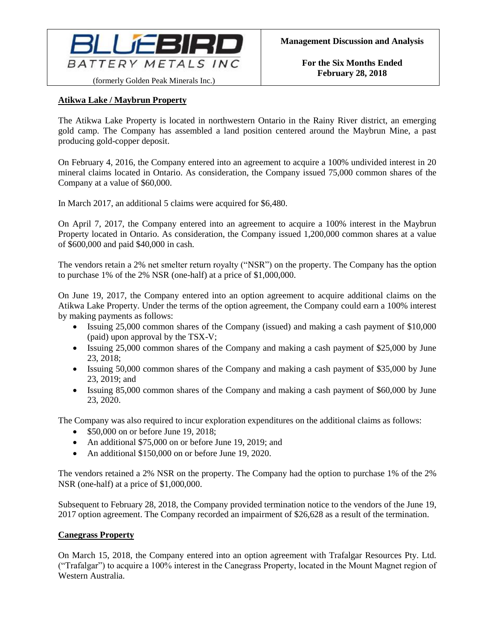

# **Atikwa Lake / Maybrun Property**

The Atikwa Lake Property is located in northwestern Ontario in the Rainy River district, an emerging gold camp. The Company has assembled a land position centered around the Maybrun Mine, a past producing gold-copper deposit.

On February 4, 2016, the Company entered into an agreement to acquire a 100% undivided interest in 20 mineral claims located in Ontario. As consideration, the Company issued 75,000 common shares of the Company at a value of \$60,000.

In March 2017, an additional 5 claims were acquired for \$6,480.

On April 7, 2017, the Company entered into an agreement to acquire a 100% interest in the Maybrun Property located in Ontario. As consideration, the Company issued 1,200,000 common shares at a value of \$600,000 and paid \$40,000 in cash.

The vendors retain a 2% net smelter return royalty ("NSR") on the property. The Company has the option to purchase 1% of the 2% NSR (one-half) at a price of \$1,000,000.

On June 19, 2017, the Company entered into an option agreement to acquire additional claims on the Atikwa Lake Property. Under the terms of the option agreement, the Company could earn a 100% interest by making payments as follows:

- Issuing 25,000 common shares of the Company (issued) and making a cash payment of \$10,000 (paid) upon approval by the TSX-V;
- Issuing 25,000 common shares of the Company and making a cash payment of \$25,000 by June 23, 2018;
- Issuing 50,000 common shares of the Company and making a cash payment of \$35,000 by June 23, 2019; and
- Issuing 85,000 common shares of the Company and making a cash payment of \$60,000 by June 23, 2020.

The Company was also required to incur exploration expenditures on the additional claims as follows:

- \$50,000 on or before June 19, 2018;
- An additional \$75,000 on or before June 19, 2019; and
- An additional \$150,000 on or before June 19, 2020.

The vendors retained a 2% NSR on the property. The Company had the option to purchase 1% of the 2% NSR (one-half) at a price of \$1,000,000.

Subsequent to February 28, 2018, the Company provided termination notice to the vendors of the June 19, 2017 option agreement. The Company recorded an impairment of \$26,628 as a result of the termination.

### **Canegrass Property**

On March 15, 2018, the Company entered into an option agreement with Trafalgar Resources Pty. Ltd. ("Trafalgar") to acquire a 100% interest in the Canegrass Property, located in the Mount Magnet region of Western Australia.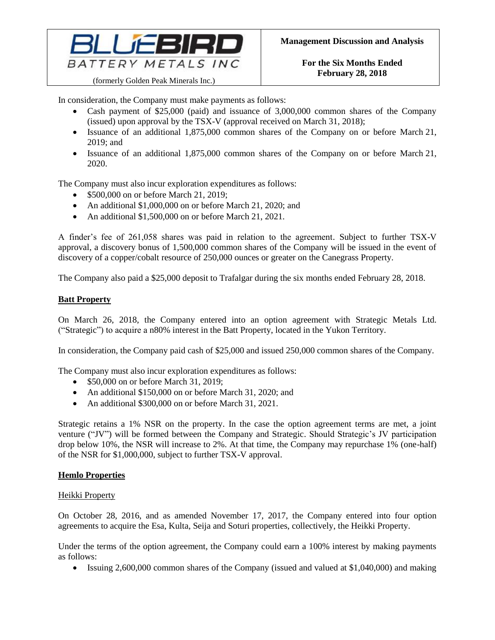

In consideration, the Company must make payments as follows:

- Cash payment of \$25,000 (paid) and issuance of 3,000,000 common shares of the Company (issued) upon approval by the TSX-V (approval received on March 31, 2018);
- Issuance of an additional 1,875,000 common shares of the Company on or before March 21, 2019; and
- Issuance of an additional 1,875,000 common shares of the Company on or before March 21, 2020.

The Company must also incur exploration expenditures as follows:

- \$500,000 on or before March 21, 2019;
- An additional \$1,000,000 on or before March 21, 2020; and
- An additional \$1,500,000 on or before March 21, 2021.

A finder's fee of 261,058 shares was paid in relation to the agreement. Subject to further TSX-V approval, a discovery bonus of 1,500,000 common shares of the Company will be issued in the event of discovery of a copper/cobalt resource of 250,000 ounces or greater on the Canegrass Property.

The Company also paid a \$25,000 deposit to Trafalgar during the six months ended February 28, 2018.

# **Batt Property**

On March 26, 2018, the Company entered into an option agreement with Strategic Metals Ltd. ("Strategic") to acquire a n80% interest in the Batt Property, located in the Yukon Territory.

In consideration, the Company paid cash of \$25,000 and issued 250,000 common shares of the Company.

The Company must also incur exploration expenditures as follows:

- \$50,000 on or before March 31, 2019;
- An additional \$150,000 on or before March 31, 2020; and
- An additional \$300,000 on or before March 31, 2021.

Strategic retains a 1% NSR on the property. In the case the option agreement terms are met, a joint venture ("JV") will be formed between the Company and Strategic. Should Strategic's JV participation drop below 10%, the NSR will increase to 2%. At that time, the Company may repurchase 1% (one-half) of the NSR for \$1,000,000, subject to further TSX-V approval.

### **Hemlo Properties**

### Heikki Property

On October 28, 2016, and as amended November 17, 2017, the Company entered into four option agreements to acquire the Esa, Kulta, Seija and Soturi properties, collectively, the Heikki Property.

Under the terms of the option agreement, the Company could earn a 100% interest by making payments as follows:

• Issuing 2,600,000 common shares of the Company (issued and valued at \$1,040,000) and making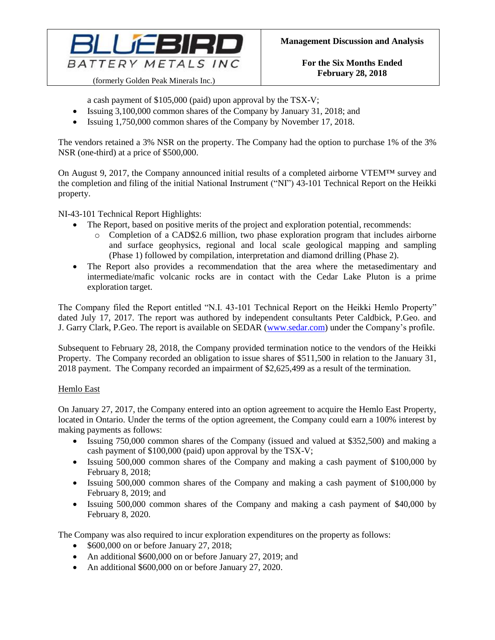

a cash payment of \$105,000 (paid) upon approval by the TSX-V;

- Issuing 3,100,000 common shares of the Company by January 31, 2018; and
- Issuing 1,750,000 common shares of the Company by November 17, 2018.

The vendors retained a 3% NSR on the property. The Company had the option to purchase 1% of the 3% NSR (one-third) at a price of \$500,000.

On August 9, 2017, the Company announced initial results of a completed airborne VTEM™ survey and the completion and filing of the initial National Instrument ("NI") 43-101 Technical Report on the Heikki property.

NI-43-101 Technical Report Highlights:

- The Report, based on positive merits of the project and exploration potential, recommends:
	- o Completion of a CAD\$2.6 million, two phase exploration program that includes airborne and surface geophysics, regional and local scale geological mapping and sampling (Phase 1) followed by compilation, interpretation and diamond drilling (Phase 2).
- The Report also provides a recommendation that the area where the metasedimentary and intermediate/mafic volcanic rocks are in contact with the Cedar Lake Pluton is a prime exploration target.

The Company filed the Report entitled "N.I. 43-101 Technical Report on the Heikki Hemlo Property" dated July 17, 2017. The report was authored by independent consultants Peter Caldbick, P.Geo. and J. Garry Clark, P.Geo. The report is available on SEDAR [\(www.sedar.com\)](http://www.sedar.com/) under the Company's profile.

Subsequent to February 28, 2018, the Company provided termination notice to the vendors of the Heikki Property. The Company recorded an obligation to issue shares of \$511,500 in relation to the January 31, 2018 payment. The Company recorded an impairment of \$2,625,499 as a result of the termination.

### Hemlo East

On January 27, 2017, the Company entered into an option agreement to acquire the Hemlo East Property, located in Ontario. Under the terms of the option agreement, the Company could earn a 100% interest by making payments as follows:

- Issuing 750,000 common shares of the Company (issued and valued at \$352,500) and making a cash payment of \$100,000 (paid) upon approval by the TSX-V;
- Issuing 500,000 common shares of the Company and making a cash payment of \$100,000 by February 8, 2018;
- Issuing 500,000 common shares of the Company and making a cash payment of \$100,000 by February 8, 2019; and
- Issuing 500,000 common shares of the Company and making a cash payment of \$40,000 by February 8, 2020.

The Company was also required to incur exploration expenditures on the property as follows:

- \$600,000 on or before January 27, 2018;
- An additional \$600,000 on or before January 27, 2019; and
- An additional \$600,000 on or before January 27, 2020.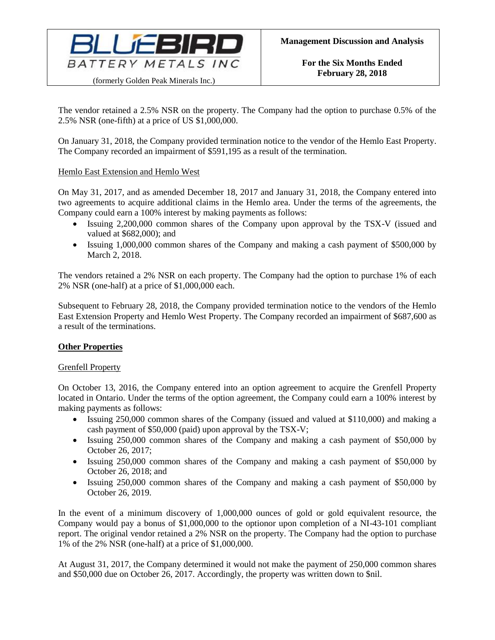

The vendor retained a 2.5% NSR on the property. The Company had the option to purchase 0.5% of the 2.5% NSR (one-fifth) at a price of US \$1,000,000.

On January 31, 2018, the Company provided termination notice to the vendor of the Hemlo East Property. The Company recorded an impairment of \$591,195 as a result of the termination.

# Hemlo East Extension and Hemlo West

On May 31, 2017, and as amended December 18, 2017 and January 31, 2018, the Company entered into two agreements to acquire additional claims in the Hemlo area. Under the terms of the agreements, the Company could earn a 100% interest by making payments as follows:

- Issuing 2,200,000 common shares of the Company upon approval by the TSX-V (issued and valued at \$682,000); and
- Issuing 1,000,000 common shares of the Company and making a cash payment of \$500,000 by March 2, 2018.

The vendors retained a 2% NSR on each property. The Company had the option to purchase 1% of each 2% NSR (one-half) at a price of \$1,000,000 each.

Subsequent to February 28, 2018, the Company provided termination notice to the vendors of the Hemlo East Extension Property and Hemlo West Property. The Company recorded an impairment of \$687,600 as a result of the terminations.

### **Other Properties**

### Grenfell Property

On October 13, 2016, the Company entered into an option agreement to acquire the Grenfell Property located in Ontario. Under the terms of the option agreement, the Company could earn a 100% interest by making payments as follows:

- Issuing 250,000 common shares of the Company (issued and valued at \$110,000) and making a cash payment of \$50,000 (paid) upon approval by the TSX-V;
- Issuing 250,000 common shares of the Company and making a cash payment of \$50,000 by October 26, 2017;
- Issuing 250,000 common shares of the Company and making a cash payment of \$50,000 by October 26, 2018; and
- Issuing 250,000 common shares of the Company and making a cash payment of \$50,000 by October 26, 2019.

In the event of a minimum discovery of 1,000,000 ounces of gold or gold equivalent resource, the Company would pay a bonus of \$1,000,000 to the optionor upon completion of a NI-43-101 compliant report. The original vendor retained a 2% NSR on the property. The Company had the option to purchase 1% of the 2% NSR (one-half) at a price of \$1,000,000.

At August 31, 2017, the Company determined it would not make the payment of 250,000 common shares and \$50,000 due on October 26, 2017. Accordingly, the property was written down to \$nil.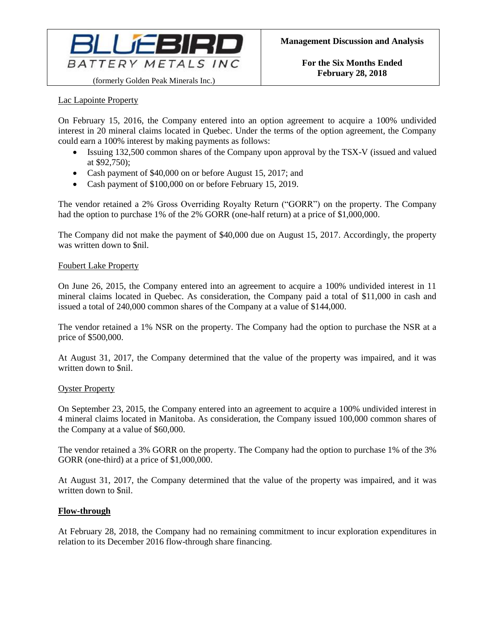

Lac Lapointe Property

On February 15, 2016, the Company entered into an option agreement to acquire a 100% undivided interest in 20 mineral claims located in Quebec. Under the terms of the option agreement, the Company could earn a 100% interest by making payments as follows:

- Issuing 132,500 common shares of the Company upon approval by the TSX-V (issued and valued at \$92,750);
- Cash payment of \$40,000 on or before August 15, 2017; and
- Cash payment of \$100,000 on or before February 15, 2019.

The vendor retained a 2% Gross Overriding Royalty Return ("GORR") on the property. The Company had the option to purchase 1% of the 2% GORR (one-half return) at a price of \$1,000,000.

The Company did not make the payment of \$40,000 due on August 15, 2017. Accordingly, the property was written down to \$nil.

#### Foubert Lake Property

On June 26, 2015, the Company entered into an agreement to acquire a 100% undivided interest in 11 mineral claims located in Quebec. As consideration, the Company paid a total of \$11,000 in cash and issued a total of 240,000 common shares of the Company at a value of \$144,000.

The vendor retained a 1% NSR on the property. The Company had the option to purchase the NSR at a price of \$500,000.

At August 31, 2017, the Company determined that the value of the property was impaired, and it was written down to \$nil.

#### Oyster Property

On September 23, 2015, the Company entered into an agreement to acquire a 100% undivided interest in 4 mineral claims located in Manitoba. As consideration, the Company issued 100,000 common shares of the Company at a value of \$60,000.

The vendor retained a 3% GORR on the property. The Company had the option to purchase 1% of the 3% GORR (one-third) at a price of \$1,000,000.

At August 31, 2017, the Company determined that the value of the property was impaired, and it was written down to \$nil.

### **Flow-through**

At February 28, 2018, the Company had no remaining commitment to incur exploration expenditures in relation to its December 2016 flow-through share financing.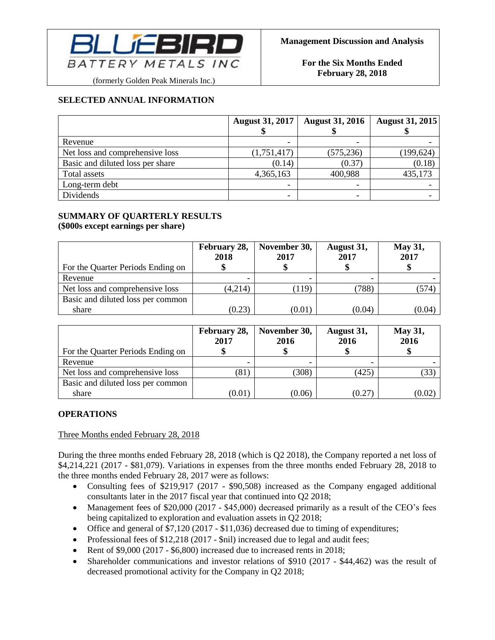

# (formerly Golden Peak Minerals Inc.)

**SELECTED ANNUAL INFORMATION**

|                                  | <b>August 31, 2017</b>   | <b>August 31, 2016</b> | <b>August 31, 2015</b> |  |
|----------------------------------|--------------------------|------------------------|------------------------|--|
| Revenue                          |                          |                        |                        |  |
| Net loss and comprehensive loss  | (1,751,417)              | (575, 236)             | (199, 624)             |  |
| Basic and diluted loss per share | (0.14)                   | (0.37)                 | (0.18)                 |  |
| Total assets                     | 4,365,163                | 400,988                | 435,173                |  |
| Long-term debt                   |                          |                        |                        |  |
| Dividends                        | $\overline{\phantom{0}}$ | -                      |                        |  |

# **SUMMARY OF QUARTERLY RESULTS (\$000s except earnings per share)**

| For the Quarter Periods Ending on | February 28,<br>2018 | November 30,<br>2017 | August 31,<br>2017 | <b>May 31,</b><br>2017 |
|-----------------------------------|----------------------|----------------------|--------------------|------------------------|
| Revenue                           |                      |                      |                    |                        |
| Net loss and comprehensive loss   | (4,214)              | (119)                | 788)               | .574                   |
| Basic and diluted loss per common |                      |                      |                    |                        |
| share                             | (0.23)               | (0.01)               | (0.04)             | (0.04)                 |

|                                   | February 28,<br>2017 | November 30,<br>2016 | August 31,<br>2016 | <b>May 31,</b><br>2016 |
|-----------------------------------|----------------------|----------------------|--------------------|------------------------|
| For the Quarter Periods Ending on |                      |                      |                    |                        |
| Revenue                           |                      |                      |                    |                        |
| Net loss and comprehensive loss   | (81)                 | (308)                | (425)              | (33)                   |
| Basic and diluted loss per common |                      |                      |                    |                        |
| share                             | (0.01)               | (0.06)               | (0.27)             | (0.02)                 |

# **OPERATIONS**

Three Months ended February 28, 2018

During the three months ended February 28, 2018 (which is Q2 2018), the Company reported a net loss of \$4,214,221 (2017 - \$81,079). Variations in expenses from the three months ended February 28, 2018 to the three months ended February 28, 2017 were as follows:

- Consulting fees of \$219,917 (2017 \$90,508) increased as the Company engaged additional consultants later in the 2017 fiscal year that continued into Q2 2018;
- Management fees of \$20,000 (2017 \$45,000) decreased primarily as a result of the CEO's fees being capitalized to exploration and evaluation assets in Q2 2018;
- Office and general of \$7,120 (2017 \$11,036) decreased due to timing of expenditures;
- Professional fees of \$12,218 (2017 \$nil) increased due to legal and audit fees;
- Rent of \$9,000 (2017 \$6,800) increased due to increased rents in 2018;
- Shareholder communications and investor relations of \$910 (2017 \$44,462) was the result of decreased promotional activity for the Company in Q2 2018;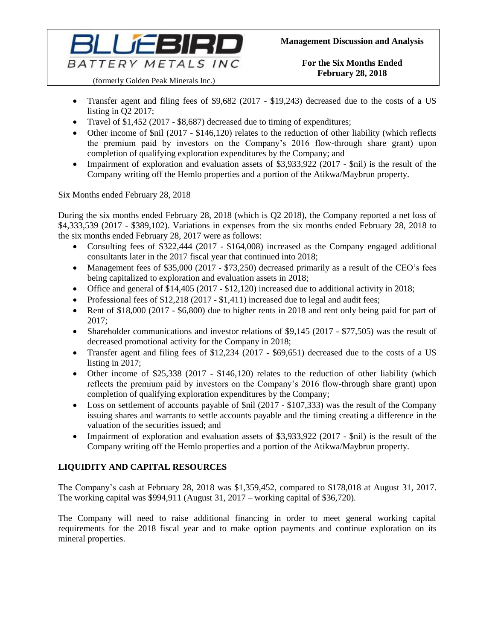

(formerly Golden Peak Minerals Inc.)

- Transfer agent and filing fees of \$9,682 (2017 \$19,243) decreased due to the costs of a US listing in Q2 2017;
- Travel of \$1,452 (2017 \$8,687) decreased due to timing of expenditures;
- Other income of \$nil (2017 \$146,120) relates to the reduction of other liability (which reflects the premium paid by investors on the Company's 2016 flow-through share grant) upon completion of qualifying exploration expenditures by the Company; and
- Impairment of exploration and evaluation assets of \$3,933,922 (2017 \$nil) is the result of the Company writing off the Hemlo properties and a portion of the Atikwa/Maybrun property.

# Six Months ended February 28, 2018

During the six months ended February 28, 2018 (which is Q2 2018), the Company reported a net loss of \$4,333,539 (2017 - \$389,102). Variations in expenses from the six months ended February 28, 2018 to the six months ended February 28, 2017 were as follows:

- Consulting fees of \$322,444 (2017 \$164,008) increased as the Company engaged additional consultants later in the 2017 fiscal year that continued into 2018;
- Management fees of \$35,000 (2017 \$73,250) decreased primarily as a result of the CEO's fees being capitalized to exploration and evaluation assets in 2018;
- Office and general of \$14,405 (2017 \$12,120) increased due to additional activity in 2018;
- Professional fees of \$12,218 (2017 \$1,411) increased due to legal and audit fees;
- Rent of \$18,000 (2017 \$6,800) due to higher rents in 2018 and rent only being paid for part of 2017;
- Shareholder communications and investor relations of \$9,145 (2017 \$77,505) was the result of decreased promotional activity for the Company in 2018;
- Transfer agent and filing fees of \$12,234 (2017 \$69,651) decreased due to the costs of a US listing in 2017;
- Other income of \$25,338 (2017 \$146,120) relates to the reduction of other liability (which reflects the premium paid by investors on the Company's 2016 flow-through share grant) upon completion of qualifying exploration expenditures by the Company;
- Loss on settlement of accounts payable of \$nil (2017 \$107,333) was the result of the Company issuing shares and warrants to settle accounts payable and the timing creating a difference in the valuation of the securities issued; and
- Impairment of exploration and evaluation assets of \$3,933,922 (2017 \$nil) is the result of the Company writing off the Hemlo properties and a portion of the Atikwa/Maybrun property.

# **LIQUIDITY AND CAPITAL RESOURCES**

The Company's cash at February 28, 2018 was \$1,359,452, compared to \$178,018 at August 31, 2017. The working capital was \$994,911 (August 31, 2017 – working capital of \$36,720).

The Company will need to raise additional financing in order to meet general working capital requirements for the 2018 fiscal year and to make option payments and continue exploration on its mineral properties.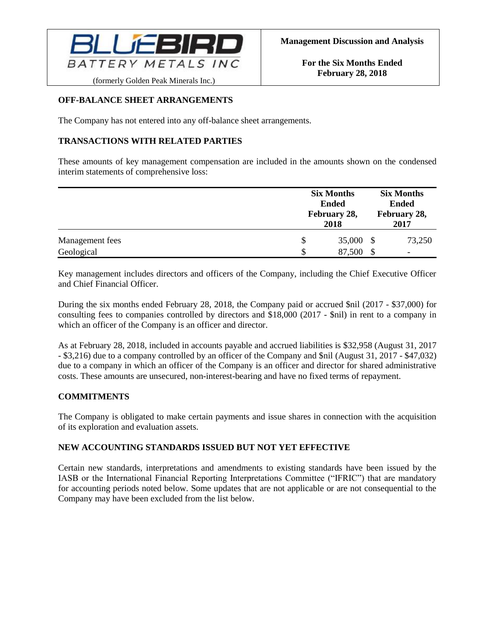

(formerly Golden Peak Minerals Inc.)

# **OFF-BALANCE SHEET ARRANGEMENTS**

The Company has not entered into any off-balance sheet arrangements.

# **TRANSACTIONS WITH RELATED PARTIES**

These amounts of key management compensation are included in the amounts shown on the condensed interim statements of comprehensive loss:

|                 |    | <b>Six Months</b><br><b>Ended</b><br>February 28,<br>2018 | <b>Six Months</b><br><b>Ended</b><br>February 28,<br>2017 |  |  |
|-----------------|----|-----------------------------------------------------------|-----------------------------------------------------------|--|--|
| Management fees | \$ | 35,000 \$                                                 | 73,250                                                    |  |  |
| Geological      | S  | 87,500                                                    | \$                                                        |  |  |

Key management includes directors and officers of the Company, including the Chief Executive Officer and Chief Financial Officer.

During the six months ended February 28, 2018, the Company paid or accrued \$nil (2017 - \$37,000) for consulting fees to companies controlled by directors and \$18,000 (2017 - \$nil) in rent to a company in which an officer of the Company is an officer and director.

As at February 28, 2018, included in accounts payable and accrued liabilities is \$32,958 (August 31, 2017 - \$3,216) due to a company controlled by an officer of the Company and \$nil (August 31, 2017 - \$47,032) due to a company in which an officer of the Company is an officer and director for shared administrative costs. These amounts are unsecured, non-interest-bearing and have no fixed terms of repayment.

# **COMMITMENTS**

The Company is obligated to make certain payments and issue shares in connection with the acquisition of its exploration and evaluation assets.

# **NEW ACCOUNTING STANDARDS ISSUED BUT NOT YET EFFECTIVE**

Certain new standards, interpretations and amendments to existing standards have been issued by the IASB or the International Financial Reporting Interpretations Committee ("IFRIC") that are mandatory for accounting periods noted below. Some updates that are not applicable or are not consequential to the Company may have been excluded from the list below.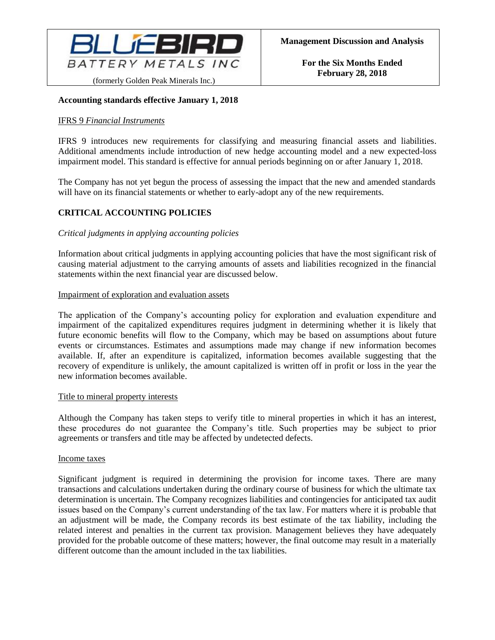

### **Accounting standards effective January 1, 2018**

#### IFRS 9 *Financial Instruments*

IFRS 9 introduces new requirements for classifying and measuring financial assets and liabilities. Additional amendments include introduction of new hedge accounting model and a new expected-loss impairment model. This standard is effective for annual periods beginning on or after January 1, 2018.

The Company has not yet begun the process of assessing the impact that the new and amended standards will have on its financial statements or whether to early-adopt any of the new requirements.

# **CRITICAL ACCOUNTING POLICIES**

#### *Critical judgments in applying accounting policies*

Information about critical judgments in applying accounting policies that have the most significant risk of causing material adjustment to the carrying amounts of assets and liabilities recognized in the financial statements within the next financial year are discussed below.

#### Impairment of exploration and evaluation assets

The application of the Company's accounting policy for exploration and evaluation expenditure and impairment of the capitalized expenditures requires judgment in determining whether it is likely that future economic benefits will flow to the Company, which may be based on assumptions about future events or circumstances. Estimates and assumptions made may change if new information becomes available. If, after an expenditure is capitalized, information becomes available suggesting that the recovery of expenditure is unlikely, the amount capitalized is written off in profit or loss in the year the new information becomes available.

#### Title to mineral property interests

Although the Company has taken steps to verify title to mineral properties in which it has an interest, these procedures do not guarantee the Company's title. Such properties may be subject to prior agreements or transfers and title may be affected by undetected defects.

#### Income taxes

Significant judgment is required in determining the provision for income taxes. There are many transactions and calculations undertaken during the ordinary course of business for which the ultimate tax determination is uncertain. The Company recognizes liabilities and contingencies for anticipated tax audit issues based on the Company's current understanding of the tax law. For matters where it is probable that an adjustment will be made, the Company records its best estimate of the tax liability, including the related interest and penalties in the current tax provision. Management believes they have adequately provided for the probable outcome of these matters; however, the final outcome may result in a materially different outcome than the amount included in the tax liabilities.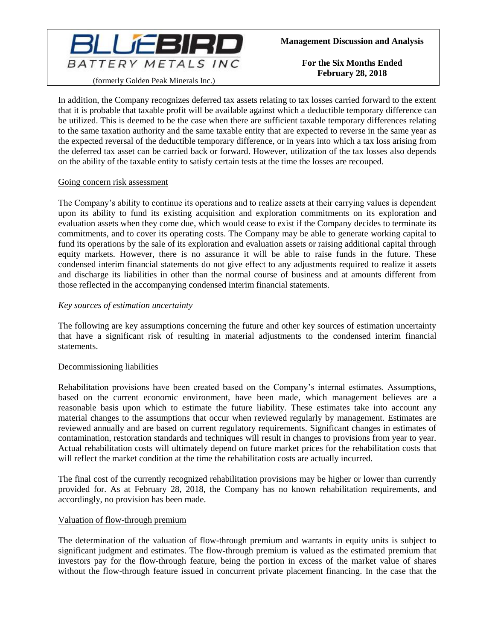

(formerly Golden Peak Minerals Inc.)

In addition, the Company recognizes deferred tax assets relating to tax losses carried forward to the extent that it is probable that taxable profit will be available against which a deductible temporary difference can be utilized. This is deemed to be the case when there are sufficient taxable temporary differences relating to the same taxation authority and the same taxable entity that are expected to reverse in the same year as the expected reversal of the deductible temporary difference, or in years into which a tax loss arising from the deferred tax asset can be carried back or forward. However, utilization of the tax losses also depends on the ability of the taxable entity to satisfy certain tests at the time the losses are recouped.

#### Going concern risk assessment

The Company's ability to continue its operations and to realize assets at their carrying values is dependent upon its ability to fund its existing acquisition and exploration commitments on its exploration and evaluation assets when they come due, which would cease to exist if the Company decides to terminate its commitments, and to cover its operating costs. The Company may be able to generate working capital to fund its operations by the sale of its exploration and evaluation assets or raising additional capital through equity markets. However, there is no assurance it will be able to raise funds in the future. These condensed interim financial statements do not give effect to any adjustments required to realize it assets and discharge its liabilities in other than the normal course of business and at amounts different from those reflected in the accompanying condensed interim financial statements.

#### *Key sources of estimation uncertainty*

The following are key assumptions concerning the future and other key sources of estimation uncertainty that have a significant risk of resulting in material adjustments to the condensed interim financial statements.

#### Decommissioning liabilities

Rehabilitation provisions have been created based on the Company's internal estimates. Assumptions, based on the current economic environment, have been made, which management believes are a reasonable basis upon which to estimate the future liability. These estimates take into account any material changes to the assumptions that occur when reviewed regularly by management. Estimates are reviewed annually and are based on current regulatory requirements. Significant changes in estimates of contamination, restoration standards and techniques will result in changes to provisions from year to year. Actual rehabilitation costs will ultimately depend on future market prices for the rehabilitation costs that will reflect the market condition at the time the rehabilitation costs are actually incurred.

The final cost of the currently recognized rehabilitation provisions may be higher or lower than currently provided for. As at February 28, 2018, the Company has no known rehabilitation requirements, and accordingly, no provision has been made.

### Valuation of flow-through premium

The determination of the valuation of flow-through premium and warrants in equity units is subject to significant judgment and estimates. The flow-through premium is valued as the estimated premium that investors pay for the flow-through feature, being the portion in excess of the market value of shares without the flow-through feature issued in concurrent private placement financing. In the case that the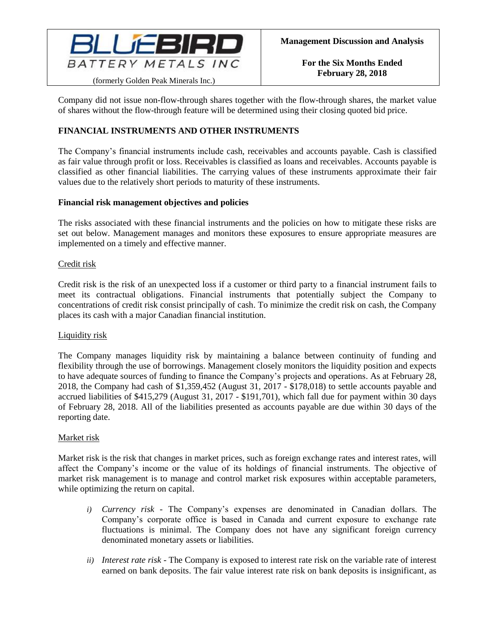

Company did not issue non-flow-through shares together with the flow-through shares, the market value of shares without the flow-through feature will be determined using their closing quoted bid price.

# **FINANCIAL INSTRUMENTS AND OTHER INSTRUMENTS**

The Company's financial instruments include cash, receivables and accounts payable. Cash is classified as fair value through profit or loss. Receivables is classified as loans and receivables. Accounts payable is classified as other financial liabilities. The carrying values of these instruments approximate their fair values due to the relatively short periods to maturity of these instruments.

#### **Financial risk management objectives and policies**

The risks associated with these financial instruments and the policies on how to mitigate these risks are set out below. Management manages and monitors these exposures to ensure appropriate measures are implemented on a timely and effective manner.

#### Credit risk

Credit risk is the risk of an unexpected loss if a customer or third party to a financial instrument fails to meet its contractual obligations. Financial instruments that potentially subject the Company to concentrations of credit risk consist principally of cash. To minimize the credit risk on cash, the Company places its cash with a major Canadian financial institution.

### Liquidity risk

The Company manages liquidity risk by maintaining a balance between continuity of funding and flexibility through the use of borrowings. Management closely monitors the liquidity position and expects to have adequate sources of funding to finance the Company's projects and operations. As at February 28, 2018, the Company had cash of \$1,359,452 (August 31, 2017 - \$178,018) to settle accounts payable and accrued liabilities of \$415,279 (August 31, 2017 - \$191,701), which fall due for payment within 30 days of February 28, 2018. All of the liabilities presented as accounts payable are due within 30 days of the reporting date.

### Market risk

Market risk is the risk that changes in market prices, such as foreign exchange rates and interest rates, will affect the Company's income or the value of its holdings of financial instruments. The objective of market risk management is to manage and control market risk exposures within acceptable parameters, while optimizing the return on capital.

- *i) Currency risk -* The Company's expenses are denominated in Canadian dollars. The Company's corporate office is based in Canada and current exposure to exchange rate fluctuations is minimal. The Company does not have any significant foreign currency denominated monetary assets or liabilities.
- *ii) Interest rate risk -* The Company is exposed to interest rate risk on the variable rate of interest earned on bank deposits. The fair value interest rate risk on bank deposits is insignificant, as